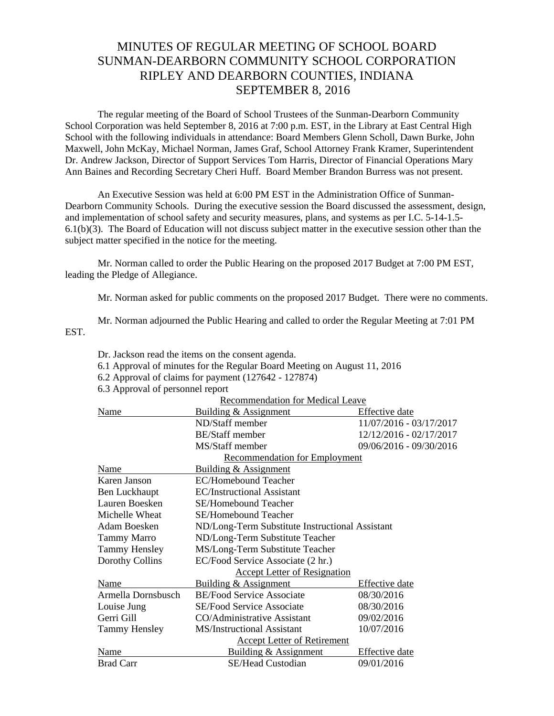## MINUTES OF REGULAR MEETING OF SCHOOL BOARD SUNMAN-DEARBORN COMMUNITY SCHOOL CORPORATION RIPLEY AND DEARBORN COUNTIES, INDIANA SEPTEMBER 8, 2016

The regular meeting of the Board of School Trustees of the Sunman-Dearborn Community School Corporation was held September 8, 2016 at 7:00 p.m. EST, in the Library at East Central High School with the following individuals in attendance: Board Members Glenn Scholl, Dawn Burke, John Maxwell, John McKay, Michael Norman, James Graf, School Attorney Frank Kramer, Superintendent Dr. Andrew Jackson, Director of Support Services Tom Harris, Director of Financial Operations Mary Ann Baines and Recording Secretary Cheri Huff. Board Member Brandon Burress was not present.

 An Executive Session was held at 6:00 PM EST in the Administration Office of Sunman-Dearborn Community Schools. During the executive session the Board discussed the assessment, design, and implementation of school safety and security measures, plans, and systems as per I.C. 5-14-1.5- 6.1(b)(3). The Board of Education will not discuss subject matter in the executive session other than the subject matter specified in the notice for the meeting.

Mr. Norman called to order the Public Hearing on the proposed 2017 Budget at 7:00 PM EST, leading the Pledge of Allegiance.

Mr. Norman asked for public comments on the proposed 2017 Budget. There were no comments.

Mr. Norman adjourned the Public Hearing and called to order the Regular Meeting at 7:01 PM EST.

6.1 Approval of minutes for the Regular Board Meeting on August 11, 2016

Dr. Jackson read the items on the consent agenda.

|                                  | 6.2 Approval of claims for payment (127642 - 127874) |                         |
|----------------------------------|------------------------------------------------------|-------------------------|
| 6.3 Approval of personnel report |                                                      |                         |
| Recommendation for Medical Leave |                                                      |                         |
| Name                             | Building & Assignment                                | Effective date          |
|                                  | ND/Staff member                                      | 11/07/2016 - 03/17/2017 |
|                                  | <b>BE/Staff</b> member                               | 12/12/2016 - 02/17/2017 |
|                                  | MS/Staff member                                      | 09/06/2016 - 09/30/2016 |
|                                  | <b>Recommendation for Employment</b>                 |                         |
| Name                             | Building & Assignment                                |                         |
| Karen Janson                     | EC/Homebound Teacher                                 |                         |
| Ben Luckhaupt                    | <b>EC/Instructional Assistant</b>                    |                         |
| Lauren Boesken                   | SE/Homebound Teacher                                 |                         |
| Michelle Wheat                   | <b>SE/Homebound Teacher</b>                          |                         |
| Adam Boesken                     | ND/Long-Term Substitute Instructional Assistant      |                         |
| Tammy Marro                      | ND/Long-Term Substitute Teacher                      |                         |
| <b>Tammy Hensley</b>             | MS/Long-Term Substitute Teacher                      |                         |
| Dorothy Collins                  | EC/Food Service Associate (2 hr.)                    |                         |
|                                  | <b>Accept Letter of Resignation</b>                  |                         |
| Name                             | Building & Assignment                                | Effective date          |
| Armella Dornsbusch               | <b>BE/Food Service Associate</b>                     | 08/30/2016              |
| Louise Jung                      | SE/Food Service Associate                            | 08/30/2016              |
| Gerri Gill                       | CO/Administrative Assistant                          | 09/02/2016              |
| <b>Tammy Hensley</b>             | <b>MS/Instructional Assistant</b>                    | 10/07/2016              |
|                                  | <b>Accept Letter of Retirement</b>                   |                         |
| Name                             | Building & Assignment                                | Effective date          |
| <b>Brad Carr</b>                 | <b>SE/Head Custodian</b>                             | 09/01/2016              |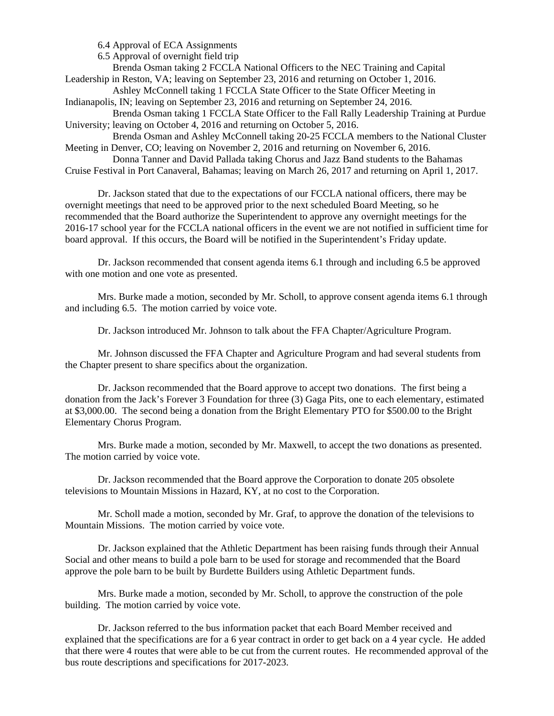6.4 Approval of ECA Assignments

6.5 Approval of overnight field trip

 Brenda Osman taking 2 FCCLA National Officers to the NEC Training and Capital Leadership in Reston, VA; leaving on September 23, 2016 and returning on October 1, 2016.

 Ashley McConnell taking 1 FCCLA State Officer to the State Officer Meeting in Indianapolis, IN; leaving on September 23, 2016 and returning on September 24, 2016.

 Brenda Osman taking 1 FCCLA State Officer to the Fall Rally Leadership Training at Purdue University; leaving on October 4, 2016 and returning on October 5, 2016.

 Brenda Osman and Ashley McConnell taking 20-25 FCCLA members to the National Cluster Meeting in Denver, CO; leaving on November 2, 2016 and returning on November 6, 2016.

Donna Tanner and David Pallada taking Chorus and Jazz Band students to the Bahamas

Cruise Festival in Port Canaveral, Bahamas; leaving on March 26, 2017 and returning on April 1, 2017.

 Dr. Jackson stated that due to the expectations of our FCCLA national officers, there may be overnight meetings that need to be approved prior to the next scheduled Board Meeting, so he recommended that the Board authorize the Superintendent to approve any overnight meetings for the 2016-17 school year for the FCCLA national officers in the event we are not notified in sufficient time for board approval. If this occurs, the Board will be notified in the Superintendent's Friday update.

 Dr. Jackson recommended that consent agenda items 6.1 through and including 6.5 be approved with one motion and one vote as presented.

 Mrs. Burke made a motion, seconded by Mr. Scholl, to approve consent agenda items 6.1 through and including 6.5. The motion carried by voice vote.

Dr. Jackson introduced Mr. Johnson to talk about the FFA Chapter/Agriculture Program.

 Mr. Johnson discussed the FFA Chapter and Agriculture Program and had several students from the Chapter present to share specifics about the organization.

Dr. Jackson recommended that the Board approve to accept two donations. The first being a donation from the Jack's Forever 3 Foundation for three (3) Gaga Pits, one to each elementary, estimated at \$3,000.00. The second being a donation from the Bright Elementary PTO for \$500.00 to the Bright Elementary Chorus Program.

 Mrs. Burke made a motion, seconded by Mr. Maxwell, to accept the two donations as presented. The motion carried by voice vote.

Dr. Jackson recommended that the Board approve the Corporation to donate 205 obsolete televisions to Mountain Missions in Hazard, KY, at no cost to the Corporation.

Mr. Scholl made a motion, seconded by Mr. Graf, to approve the donation of the televisions to Mountain Missions. The motion carried by voice vote.

Dr. Jackson explained that the Athletic Department has been raising funds through their Annual Social and other means to build a pole barn to be used for storage and recommended that the Board approve the pole barn to be built by Burdette Builders using Athletic Department funds.

Mrs. Burke made a motion, seconded by Mr. Scholl, to approve the construction of the pole building. The motion carried by voice vote.

Dr. Jackson referred to the bus information packet that each Board Member received and explained that the specifications are for a 6 year contract in order to get back on a 4 year cycle. He added that there were 4 routes that were able to be cut from the current routes. He recommended approval of the bus route descriptions and specifications for 2017-2023.